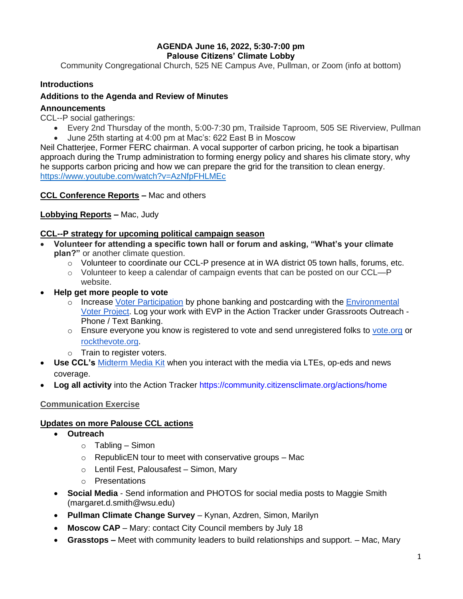### **AGENDA June 16, 2022, 5:30-7:00 pm Palouse Citizens' Climate Lobby**

Community Congregational Church, 525 NE Campus Ave, Pullman, or Zoom (info at bottom)

# **Introductions**

### **Additions to the Agenda and Review of Minutes**

### **Announcements**

CCL--P social gatherings:

• Every 2nd Thursday of the month, 5:00-7:30 pm, Trailside Taproom, 505 SE Riverview, Pullman • June 25th starting at 4:00 pm at Mac's: 622 East B in Moscow

Neil Chatterjee, Former FERC chairman. A vocal supporter of carbon pricing, he took a bipartisan approach during the Trump administration to forming energy policy and shares his climate story, why he supports carbon pricing and how we can prepare the grid for the transition to clean energy. <https://www.youtube.com/watch?v=AzNfpFHLMEc>

**CCL Conference Reports –** Mac and others

# **Lobbying Reports –** Mac, Judy

### **CCL--P strategy for upcoming political campaign season**

- **Volunteer for attending a specific town hall or forum and asking, "What's your climate plan?"** or another climate question.
	- o Volunteer to coordinate our CCL-P presence at in WA district 05 town halls, forums, etc.
	- $\circ$  Volunteer to keep a calendar of campaign events that can be posted on our CCL—P website.
- **Help get more people to vote**
	- $\circ$  Increase [Voter Participation](https://community.citizensclimate.org/resources/item/19/464) by phone banking and postcarding with the Environmental [Voter Project.](https://www.environmentalvoter.org/get-involved) Log your work with EVP in the Action Tracker under Grassroots Outreach - Phone / Text Banking.
	- $\circ$  Ensure everyone you know is registered to vote and send unregistered folks to [vote.org](http://vote.org/) or [rockthevote.org.](http://rockthevote.org/)
	- o Train to register voters.
- **Use CCL's** [Midterm Media Kit](https://community.citizensclimate.org/resources/item/19/501) when you interact with the media via LTEs, op-eds and news coverage.
- **Log all activity** into the Action Tracker https://community.citizensclimate.org/actions/home

#### **Communication Exercise**

# **Updates on more Palouse CCL actions**

- **Outreach**
	- $\circ$  Tabling Simon
	- o RepublicEN tour to meet with conservative groups Mac
	- o Lentil Fest, Palousafest Simon, Mary
	- o Presentations
- **Social Media**  Send information and PHOTOS for social media posts to Maggie Smith (margaret.d.smith@wsu.edu)
- **Pullman Climate Change Survey** Kynan, Azdren, Simon, Marilyn
- **Moscow CAP** Mary: contact City Council members by July 18
- **Grasstops –** Meet with community leaders to build relationships and support. Mac, Mary